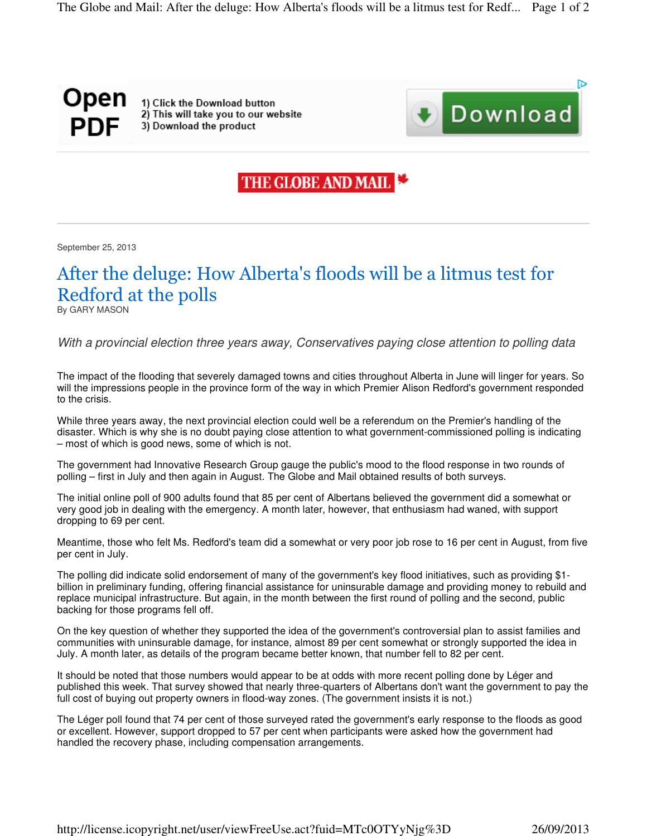## Open PDF

1) Click the Download button 2) This will take you to our website 3) Download the product



## THE GLOBE AND MAIL

September 25, 2013

## After the deluge: How Alberta's floods will be a litmus test for Redford at the polls

By GARY MASON

*With a provincial election three years away, Conservatives paying close attention to polling data*

The impact of the flooding that severely damaged towns and cities throughout Alberta in June will linger for years. So will the impressions people in the province form of the way in which Premier Alison Redford's government responded to the crisis.

While three years away, the next provincial election could well be a referendum on the Premier's handling of the disaster. Which is why she is no doubt paying close attention to what government-commissioned polling is indicating – most of which is good news, some of which is not.

The government had Innovative Research Group gauge the public's mood to the flood response in two rounds of polling – first in July and then again in August. The Globe and Mail obtained results of both surveys.

The initial online poll of 900 adults found that 85 per cent of Albertans believed the government did a somewhat or very good job in dealing with the emergency. A month later, however, that enthusiasm had waned, with support dropping to 69 per cent.

Meantime, those who felt Ms. Redford's team did a somewhat or very poor job rose to 16 per cent in August, from five per cent in July.

The polling did indicate solid endorsement of many of the government's key flood initiatives, such as providing \$1 billion in preliminary funding, offering financial assistance for uninsurable damage and providing money to rebuild and replace municipal infrastructure. But again, in the month between the first round of polling and the second, public backing for those programs fell off.

On the key question of whether they supported the idea of the government's controversial plan to assist families and communities with uninsurable damage, for instance, almost 89 per cent somewhat or strongly supported the idea in July. A month later, as details of the program became better known, that number fell to 82 per cent.

It should be noted that those numbers would appear to be at odds with more recent polling done by Léger and published this week. That survey showed that nearly three-quarters of Albertans don't want the government to pay the full cost of buying out property owners in flood-way zones. (The government insists it is not.)

The Léger poll found that 74 per cent of those surveyed rated the government's early response to the floods as good or excellent. However, support dropped to 57 per cent when participants were asked how the government had handled the recovery phase, including compensation arrangements.

http://license.icopyright.net/user/viewFreeUse.act?fuid=MTc0OTYyNjg%3D 26/09/2013